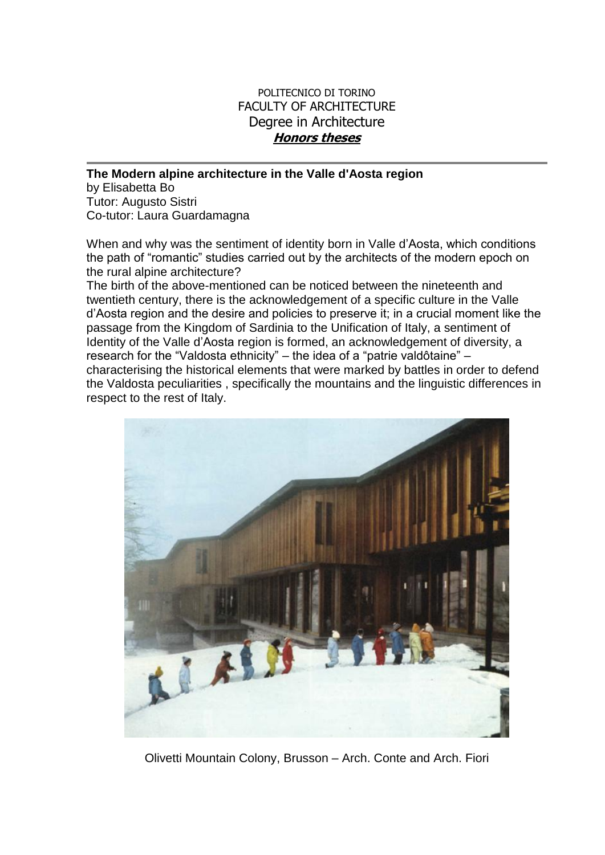## POLITECNICO DI TORINO FACULTY OF ARCHITECTURE Degree in Architecture **Honors theses**

**The Modern alpine architecture in the Valle d'Aosta region**

by Elisabetta Bo Tutor: Augusto Sistri Co-tutor: Laura Guardamagna

When and why was the sentiment of identity born in Valle d'Aosta, which conditions the path of "romantic" studies carried out by the architects of the modern epoch on the rural alpine architecture?

The birth of the above-mentioned can be noticed between the nineteenth and twentieth century, there is the acknowledgement of a specific culture in the Valle d'Aosta region and the desire and policies to preserve it; in a crucial moment like the passage from the Kingdom of Sardinia to the Unification of Italy, a sentiment of Identity of the Valle d'Aosta region is formed, an acknowledgement of diversity, a research for the "Valdosta ethnicity" – the idea of a "patrie valdôtaine" – characterising the historical elements that were marked by battles in order to defend the Valdosta peculiarities , specifically the mountains and the linguistic differences in respect to the rest of Italy.



Olivetti Mountain Colony, Brusson – Arch. Conte and Arch. Fiori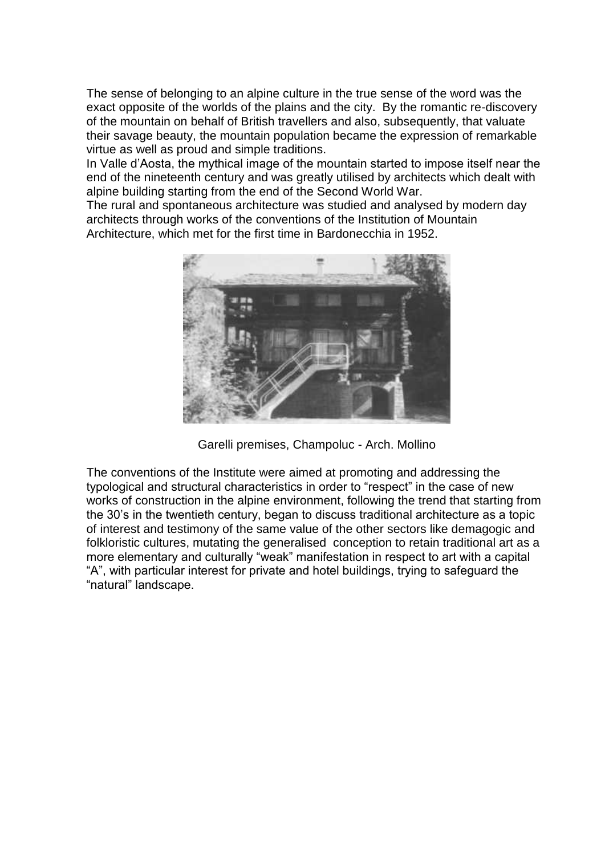The sense of belonging to an alpine culture in the true sense of the word was the exact opposite of the worlds of the plains and the city. By the romantic re-discovery of the mountain on behalf of British travellers and also, subsequently, that valuate their savage beauty, the mountain population became the expression of remarkable virtue as well as proud and simple traditions.

In Valle d'Aosta, the mythical image of the mountain started to impose itself near the end of the nineteenth century and was greatly utilised by architects which dealt with alpine building starting from the end of the Second World War.

The rural and spontaneous architecture was studied and analysed by modern day architects through works of the conventions of the Institution of Mountain Architecture, which met for the first time in Bardonecchia in 1952.



Garelli premises, Champoluc - Arch. Mollino

The conventions of the Institute were aimed at promoting and addressing the typological and structural characteristics in order to "respect" in the case of new works of construction in the alpine environment, following the trend that starting from the 30's in the twentieth century, began to discuss traditional architecture as a topic of interest and testimony of the same value of the other sectors like demagogic and folkloristic cultures, mutating the generalised conception to retain traditional art as a more elementary and culturally "weak" manifestation in respect to art with a capital "A", with particular interest for private and hotel buildings, trying to safeguard the "natural" landscape.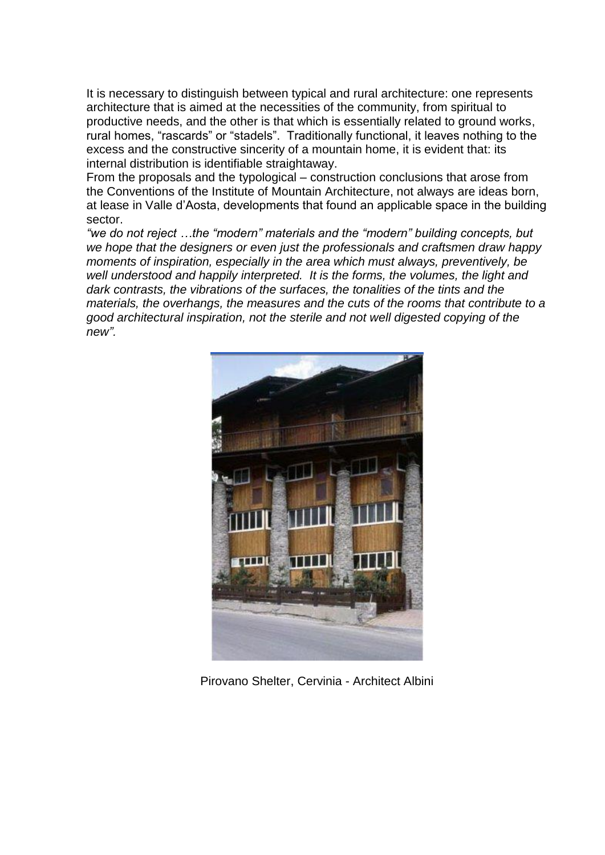It is necessary to distinguish between typical and rural architecture: one represents architecture that is aimed at the necessities of the community, from spiritual to productive needs, and the other is that which is essentially related to ground works, rural homes, "rascards" or "stadels". Traditionally functional, it leaves nothing to the excess and the constructive sincerity of a mountain home, it is evident that: its internal distribution is identifiable straightaway.

From the proposals and the typological – construction conclusions that arose from the Conventions of the Institute of Mountain Architecture, not always are ideas born, at lease in Valle d'Aosta, developments that found an applicable space in the building sector.

*"we do not reject …the "modern" materials and the "modern" building concepts, but we hope that the designers or even just the professionals and craftsmen draw happy moments of inspiration, especially in the area which must always, preventively, be well understood and happily interpreted. It is the forms, the volumes, the light and dark contrasts, the vibrations of the surfaces, the tonalities of the tints and the materials, the overhangs, the measures and the cuts of the rooms that contribute to a good architectural inspiration, not the sterile and not well digested copying of the new".*



Pirovano Shelter, Cervinia - Architect Albini